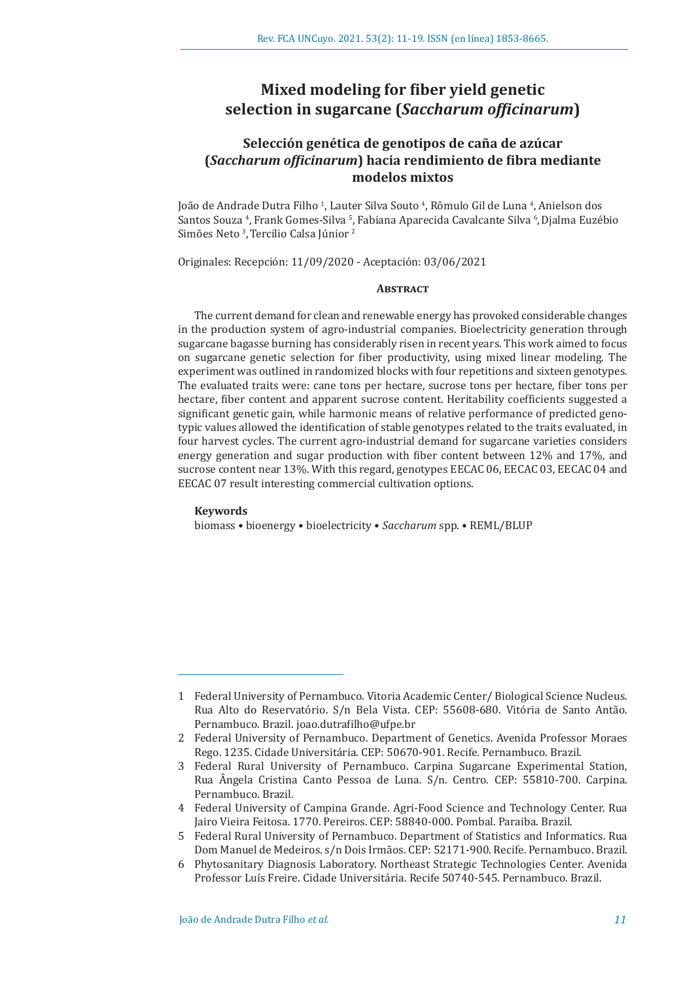# **Mixed modeling for fiber yield genetic selection in sugarcane (***Saccharum officinarum***)**

## **Selección genética de genotipos de caña de azúcar (***Saccharum officinarum***) hacia rendimiento de fibra mediante modelos mixtos**

João de Andrade Dutra Filho <sup>1</sup>, Lauter Silva Souto <sup>4</sup>, Rômulo Gil de Luna <sup>4</sup>, Anielson dos Santos Souza <sup>4</sup>, Frank Gomes-Silva <sup>5</sup>, Fabiana Aparecida Cavalcante Silva <sup>6</sup>, Djalma Euzébio Simões Neto <sup>3</sup>, Tercilio Calsa Júnior <sup>2</sup>

Originales: Recepción: 11/09/2020 - Aceptación: 03/06/2021

## **Abstract**

The current demand for clean and renewable energy has provoked considerable changes in the production system of agro-industrial companies. Bioelectricity generation through sugarcane bagasse burning has considerably risen in recent years. This work aimed to focus on sugarcane genetic selection for fiber productivity, using mixed linear modeling. The experiment was outlined in randomized blocks with four repetitions and sixteen genotypes. The evaluated traits were: cane tons per hectare, sucrose tons per hectare, fiber tons per hectare, fiber content and apparent sucrose content. Heritability coefficients suggested a significant genetic gain, while harmonic means of relative performance of predicted genotypic values allowed the identification of stable genotypes related to the traits evaluated, in four harvest cycles. The current agro-industrial demand for sugarcane varieties considers energy generation and sugar production with fiber content between 12% and 17%, and sucrose content near 13%. With this regard, genotypes EECAC 06, EECAC 03, EECAC 04 and EECAC 07 result interesting commercial cultivation options.

#### **Keywords**

biomass • bioenergy • bioelectricity • *Saccharum* spp. • REML/BLUP

<sup>1</sup> Federal University of Pernambuco. Vitoria Academic Center/ Biological Science Nucleus. Rua Alto do Reservatório. S/n Bela Vista. CEP: 55608-680. Vitória de Santo Antão. Pernambuco. Brazil. joao.dutrafilho@ufpe.br

<sup>2</sup> Federal University of Pernambuco. Department of Genetics. Avenida Professor Moraes Rego. 1235. Cidade Universitária. CEP: 50670-901. Recife. Pernambuco. Brazil.

<sup>3</sup> Federal Rural University of Pernambuco. Carpina Sugarcane Experimental Station, Rua Ângela Cristina Canto Pessoa de Luna. S/n. Centro. CEP: 55810-700. Carpina. Pernambuco. Brazil.

<sup>4</sup> Federal University of Campina Grande. Agri-Food Science and Technology Center. Rua Jairo Vieira Feitosa. 1770. Pereiros. CEP: 58840-000. Pombal. Paraiba. Brazil.

<sup>5</sup> Federal Rural University of Pernambuco. Department of Statistics and Informatics. Rua Dom Manuel de Medeiros. s/n Dois Irmãos. CEP: 52171-900. Recife. Pernambuco. Brazil.

<sup>6</sup> Phytosanitary Diagnosis Laboratory. Northeast Strategic Technologies Center. Avenida Professor Luís Freire. Cidade Universitária. Recife 50740-545. Pernambuco. Brazil.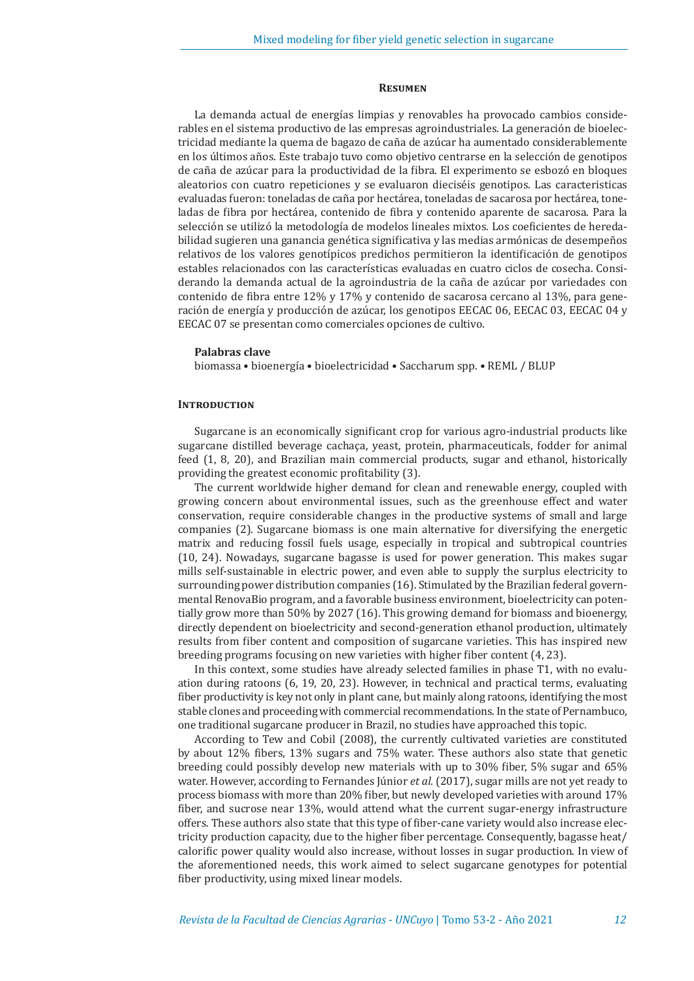#### **Resumen**

La demanda actual de energías limpias y renovables ha provocado cambios considerables en el sistema productivo de las empresas agroindustriales. La generación de bioelectricidad mediante la quema de bagazo de caña de azúcar ha aumentado considerablemente en los últimos años. Este trabajo tuvo como objetivo centrarse en la selección de genotipos de caña de azúcar para la productividad de la fibra. El experimento se esbozó en bloques aleatorios con cuatro repeticiones y se evaluaron dieciséis genotipos. Las caracteristicas evaluadas fueron: toneladas de caña por hectárea, toneladas de sacarosa por hectárea, toneladas de fibra por hectárea, contenido de fibra y contenido aparente de sacarosa. Para la selección se utilizó la metodología de modelos lineales mixtos. Los coeficientes de heredabilidad sugieren una ganancia genética significativa y las medias armónicas de desempeños relativos de los valores genotípicos predichos permitieron la identificación de genotipos estables relacionados con las características evaluadas en cuatro ciclos de cosecha. Considerando la demanda actual de la agroindustria de la caña de azúcar por variedades con contenido de fibra entre 12% y 17% y contenido de sacarosa cercano al 13%, para generación de energía y producción de azúcar, los genotipos EECAC 06, EECAC 03, EECAC 04 y EECAC 07 se presentan como comerciales opciones de cultivo.

#### **Palabras clave**

biomassa • bioenergía • bioelectricidad • Saccharum spp. • REML / BLUP

#### **INTRODUCTION**

Sugarcane is an economically significant crop for various agro-industrial products like sugarcane distilled beverage cachaça, yeast, protein, pharmaceuticals, fodder for animal feed (1, 8, 20), and Brazilian main commercial products, sugar and ethanol, historically providing the greatest economic profitability (3).

The current worldwide higher demand for clean and renewable energy, coupled with growing concern about environmental issues, such as the greenhouse effect and water conservation, require considerable changes in the productive systems of small and large companies (2). Sugarcane biomass is one main alternative for diversifying the energetic matrix and reducing fossil fuels usage, especially in tropical and subtropical countries (10, 24). Nowadays, sugarcane bagasse is used for power generation. This makes sugar mills self-sustainable in electric power, and even able to supply the surplus electricity to surrounding power distribution companies (16). Stimulated by the Brazilian federal governmental RenovaBio program, and a favorable business environment, bioelectricity can potentially grow more than 50% by 2027 (16). This growing demand for biomass and bioenergy, directly dependent on bioelectricity and second-generation ethanol production, ultimately results from fiber content and composition of sugarcane varieties. This has inspired new breeding programs focusing on new varieties with higher fiber content (4, 23).

In this context, some studies have already selected families in phase T1, with no evaluation during ratoons (6, 19, 20, 23). However, in technical and practical terms, evaluating fiber productivity is key not only in plant cane, but mainly along ratoons, identifying the most stable clones and proceeding with commercial recommendations. In the state of Pernambuco, one traditional sugarcane producer in Brazil, no studies have approached this topic.

According to Tew and Cobil (2008), the currently cultivated varieties are constituted by about 12% fibers, 13% sugars and 75% water. These authors also state that genetic breeding could possibly develop new materials with up to 30% fiber, 5% sugar and 65% water. However, according to Fernandes Júnior *et al.* (2017), sugar mills are not yet ready to process biomass with more than 20% fiber, but newly developed varieties with around 17% fiber, and sucrose near 13%, would attend what the current sugar-energy infrastructure offers. These authors also state that this type of fiber-cane variety would also increase electricity production capacity, due to the higher fiber percentage. Consequently, bagasse heat/ calorific power quality would also increase, without losses in sugar production. In view of the aforementioned needs, this work aimed to select sugarcane genotypes for potential fiber productivity, using mixed linear models.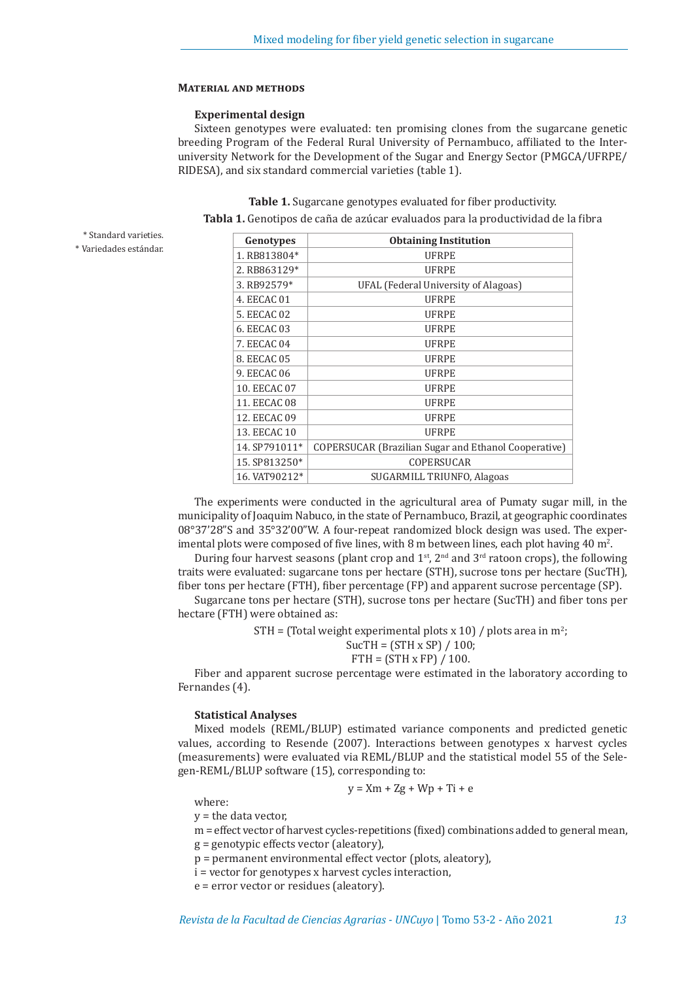## **Material and methods**

## **Experimental design**

Sixteen genotypes were evaluated: ten promising clones from the sugarcane genetic breeding Program of the Federal Rural University of Pernambuco, affiliated to the Interuniversity Network for the Development of the Sugar and Energy Sector (PMGCA/UFRPE/ RIDESA), and six standard commercial varieties (table 1).

**Table 1.** Sugarcane genotypes evaluated for fiber productivity.

**Tabla 1.** Genotipos de caña de azúcar evaluados para la productividad de la fibra

| * Standard varieties. |  |  |
|-----------------------|--|--|
|                       |  |  |

| * Variedades estándar. |
|------------------------|
|                        |

| Genotypes     | <b>Obtaining Institution</b>                                |  |  |  |  |  |
|---------------|-------------------------------------------------------------|--|--|--|--|--|
| 1. RB813804*  | <b>UFRPE</b>                                                |  |  |  |  |  |
| 2. RB863129*  | <b>UFRPE</b>                                                |  |  |  |  |  |
| 3. RB92579*   | UFAL (Federal University of Alagoas)                        |  |  |  |  |  |
| 4. EECAC 01   | <b>UFRPE</b>                                                |  |  |  |  |  |
| 5. EECAC 02   | <b>UFRPE</b>                                                |  |  |  |  |  |
| 6. EECAC 03   | <b>UFRPE</b>                                                |  |  |  |  |  |
| 7. EECAC 04   | <b>UFRPE</b>                                                |  |  |  |  |  |
| 8. EECAC 05   | <b>UFRPE</b>                                                |  |  |  |  |  |
| 9. EECAC 06   | <b>UFRPE</b>                                                |  |  |  |  |  |
| 10. EECAC 07  | <b>UFRPE</b>                                                |  |  |  |  |  |
| 11. EECAC 08  | <b>UFRPE</b>                                                |  |  |  |  |  |
| 12. EECAC 09  | <b>UFRPE</b>                                                |  |  |  |  |  |
| 13. EECAC 10  | <b>UFRPE</b>                                                |  |  |  |  |  |
| 14. SP791011* | <b>COPERSUCAR (Brazilian Sugar and Ethanol Cooperative)</b> |  |  |  |  |  |
| 15. SP813250* | <b>COPERSUCAR</b>                                           |  |  |  |  |  |
| 16. VAT90212* | SUGARMILL TRIUNFO, Alagoas                                  |  |  |  |  |  |

The experiments were conducted in the agricultural area of Pumaty sugar mill, in the municipality of Joaquim Nabuco, in the state of Pernambuco, Brazil, at geographic coordinates 08°37'28"S and 35°32'00"W. A four-repeat randomized block design was used. The experimental plots were composed of five lines, with 8 m between lines, each plot having  $40$  m<sup>2</sup>.

During four harvest seasons (plant crop and  $1<sup>st</sup>$ ,  $2<sup>nd</sup>$  and  $3<sup>rd</sup>$  ratoon crops), the following traits were evaluated: sugarcane tons per hectare (STH), sucrose tons per hectare (SucTH), fiber tons per hectare (FTH), fiber percentage (FP) and apparent sucrose percentage (SP).

Sugarcane tons per hectare (STH), sucrose tons per hectare (SucTH) and fiber tons per hectare (FTH) were obtained as:

 $STH = (Total weight experimental plots x 10) / plots area in m<sup>2</sup>;$ 

$$
SucTH = (STH x SP) / 100;
$$

$$
FTH = (STH \times FP) / 100.
$$

Fiber and apparent sucrose percentage were estimated in the laboratory according to Fernandes (4).

## **Statistical Analyses**

Mixed models (REML/BLUP) estimated variance components and predicted genetic values, according to Resende (2007). Interactions between genotypes x harvest cycles (measurements) were evaluated via REML/BLUP and the statistical model 55 of the Selegen-REML/BLUP software (15), corresponding to:

$$
y = \mathrm{X} m + \mathrm{Z} g + \mathrm{W} p + \mathrm{Ti} + \mathrm{e}
$$

where:

 $y =$  the data vector,

m = effect vector of harvest cycles-repetitions (fixed) combinations added to general mean,

- g = genotypic effects vector (aleatory),
- p = permanent environmental effect vector (plots, aleatory),
- i = vector for genotypes x harvest cycles interaction,

e = error vector or residues (aleatory).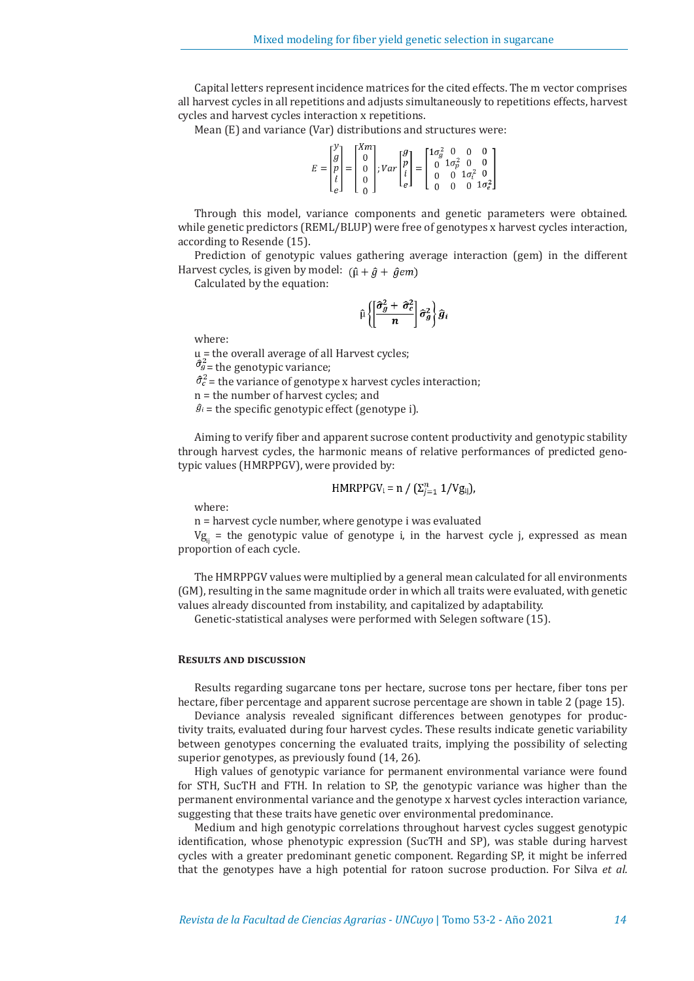Capital letters represent incidence matrices for the cited effects. The m vector comprises all harvest cycles in all repetitions and adjusts simultaneously to repetitions effects, harvest cycles and harvest cycles interaction x repetitions.

Mean (E) and variance (Var) distributions and structures were:

|  |  |  |  | $E = \begin{bmatrix} y \\ g \\ p \\ i \\ e \end{bmatrix} = \begin{bmatrix} Xm \\ 0 \\ 0 \\ 0 \\ 0 \end{bmatrix}; Var \begin{bmatrix} g \\ p \\ i \\ i \\ e \end{bmatrix} = \begin{bmatrix} 1\sigma_g^2 & 0 & 0 & 0 \\ 0 & 1\sigma_p^2 & 0 & 0 \\ 0 & 0 & 1\sigma_i^2 & 0 \\ 0 & 0 & 1\sigma_e^2 & 0 \\ 0 & 0 & 0 & 1\sigma_e^2 \end{bmatrix}$ |  |  |  |  |  |  |  |
|--|--|--|--|-----------------------------------------------------------------------------------------------------------------------------------------------------------------------------------------------------------------------------------------------------------------------------------------------------------------------------------------------|--|--|--|--|--|--|--|
|--|--|--|--|-----------------------------------------------------------------------------------------------------------------------------------------------------------------------------------------------------------------------------------------------------------------------------------------------------------------------------------------------|--|--|--|--|--|--|--|

Through this model, variance components and genetic parameters were obtained. while genetic predictors (REML/BLUP) were free of genotypes x harvest cycles interaction, according to Resende (15).

Prediction of genotypic values gathering average interaction (gem) in the different Harvest cycles, is given by model:  $(\hat{\mu} + \hat{g} + \hat{g}em)$ 

Calculated by the equation:

$$
\widehat{\mu}\left\{\!\!\left[\!\frac{\widehat{\sigma}_{g}^{2}+\widehat{\sigma}_{c}^{2}}{n}\!\right]\!\widehat{\sigma}_{g}^{2}\!\right\}\widehat{g}_{i}
$$

where:

μ = the overall average of all Harvest cycles;

 $\hat{\sigma}_{g}^2$  = the genotypic variance;

 $\hat{\sigma}_c^2$  = the variance of genotype x harvest cycles interaction;

n = the number of harvest cycles; and

 $\hat{g}_i$  = the specific genotypic effect (genotype i).

Aiming to verify fiber and apparent sucrose content productivity and genotypic stability through harvest cycles, the harmonic means of relative performances of predicted genotypic values (HMRPPGV), were provided by:

$$
HMRPPGV_i = n / (\Sigma_{j=1}^n 1/Vg_{ij}),
$$

where:

n = harvest cycle number, where genotype i was evaluated

 $Vg_{ii}$  = the genotypic value of genotype i, in the harvest cycle j, expressed as mean proportion of each cycle.

The HMRPPGV values were multiplied by a general mean calculated for all environments (GM), resulting in the same magnitude order in which all traits were evaluated, with genetic values already discounted from instability, and capitalized by adaptability.

Genetic-statistical analyses were performed with Selegen software (15).

## **Results and discussion**

Results regarding sugarcane tons per hectare, sucrose tons per hectare, fiber tons per hectare, fiber percentage and apparent sucrose percentage are shown in table 2 (page 15).

Deviance analysis revealed significant differences between genotypes for productivity traits, evaluated during four harvest cycles. These results indicate genetic variability between genotypes concerning the evaluated traits, implying the possibility of selecting superior genotypes, as previously found (14, 26).

High values of genotypic variance for permanent environmental variance were found for STH, SucTH and FTH. In relation to SP, the genotypic variance was higher than the permanent environmental variance and the genotype x harvest cycles interaction variance, suggesting that these traits have genetic over environmental predominance.

Medium and high genotypic correlations throughout harvest cycles suggest genotypic identification, whose phenotypic expression (SucTH and SP), was stable during harvest cycles with a greater predominant genetic component. Regarding SP, it might be inferred that the genotypes have a high potential for ratoon sucrose production. For Silva *et al.*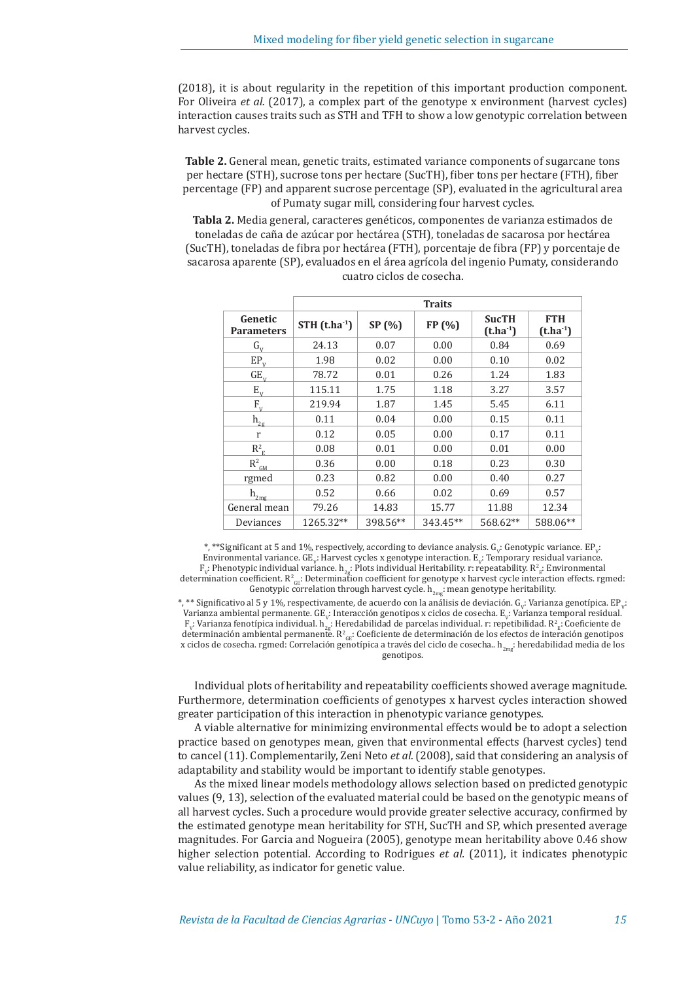(2018), it is about regularity in the repetition of this important production component. For Oliveira *et al.* (2017), a complex part of the genotype x environment (harvest cycles) interaction causes traits such as STH and TFH to show a low genotypic correlation between harvest cycles.

**Table 2.** General mean, genetic traits, estimated variance components of sugarcane tons per hectare (STH), sucrose tons per hectare (SucTH), fiber tons per hectare (FTH), fiber percentage (FP) and apparent sucrose percentage (SP), evaluated in the agricultural area of Pumaty sugar mill, considering four harvest cycles.

**Tabla 2.** Media general, caracteres genéticos, componentes de varianza estimados de toneladas de caña de azúcar por hectárea (STH), toneladas de sacarosa por hectárea (SucTH), toneladas de fibra por hectárea (FTH), porcentaje de fibra (FP) y porcentaje de sacarosa aparente (SP), evaluados en el área agrícola del ingenio Pumaty, considerando cuatro ciclos de cosecha.

|                              | <b>Traits</b>                         |          |          |                               |                             |  |  |  |
|------------------------------|---------------------------------------|----------|----------|-------------------------------|-----------------------------|--|--|--|
| Genetic<br><b>Parameters</b> | $STH$ (t.ha <sup>-1</sup> )<br>SP (%) |          | FP (%)   | <b>SucTH</b><br>$(t.ha^{-1})$ | <b>FTH</b><br>$(t.ha^{-1})$ |  |  |  |
| $G_{V}$                      | 24.13                                 | 0.07     | 0.00     | 0.84                          | 0.69                        |  |  |  |
| $EP_v$                       | 1.98                                  | 0.02     | 0.00     | 0.10                          | 0.02                        |  |  |  |
| $GE_{v}$                     | 78.72                                 | 0.01     | 0.26     | 1.24                          | 1.83                        |  |  |  |
| $E_{V}$                      | 115.11                                | 1.75     | 1.18     | 3.27                          | 3.57                        |  |  |  |
| $F_{V}$                      | 219.94                                | 1.87     | 1.45     | 5.45                          | 6.11                        |  |  |  |
| $\mathbf{h}_{\mathbf{2g}}$   | 0.11                                  | 0.04     | 0.00     | 0.15                          | 0.11                        |  |  |  |
| r                            | 0.12                                  | 0.05     | 0.00     | 0.17                          | 0.11                        |  |  |  |
| $R_{\rm E}^2$                | 0.08                                  | 0.01     | 0.00     | 0.01                          | 0.00                        |  |  |  |
| $R^2_{\text{GM}}$            | 0.36                                  | 0.00     | 0.18     | 0.23                          | 0.30                        |  |  |  |
| rgmed                        | 0.23                                  | 0.82     | 0.00     | 0.40                          | 0.27                        |  |  |  |
| $\mathbf{h}_{2\text{mg}}$    | 0.52                                  | 0.66     | 0.02     | 0.69                          | 0.57                        |  |  |  |
| General mean                 | 79.26                                 | 14.83    | 15.77    | 11.88                         | 12.34                       |  |  |  |
| Deviances                    | 1265.32**                             | 398.56** | 343.45** | 568.62**                      | 588.06**                    |  |  |  |

\*, \*\*Significant at 5 and 1%, respectively, according to deviance analysis.  $G_v$ : Genotypic variance.  $EP_v$ : Environmental variance. GE<sub>v</sub>: Harvest cycles x genotype interaction. E<sub>v</sub>: Temporary residual variance.  $F_v$ : Phenotypic individual variance.  $h_{2g}$ : Plots individual Heritability. r: repeatability.  $R_{2g}$ : Environmental determination coefficient.  $R_{\text{GE}}$ : Determination coefficient for genotype x harvest cycle interaction effects. rgmed: Genotypic correlation through harvest cycle.  $h_{2mg}$ : mean genotype heritability.

\*, \*\* Significativo al 5 y 1%, respectivamente, de acuerdo con la análisis de deviación. G<sub>v</sub>: Varianza genotípica. EP<sub>v</sub>: Varianza ambiental permanente.  $GE_v$ : Interacción genotipos x ciclos de cosecha.  $E_v$ : Varianza temporal residual.  $\mathbb{F}_v$ : Varianza fenotípica individual. h $_{2g}$ : Heredabilidad de parcelas individual. r: repetibilidad. R $^2_{g}$ : Coeficiente de determinación ambiental permanente.  $R_{\text{GE}}$ : Coeficiente de determinación de los efectos de interación genotipos x ciclos de cosecha. rgmed: Correlación genotípica a través del ciclo de cosecha.. h<sub>2me</sub>: heredabilidad media de los genotipos.

Individual plots of heritability and repeatability coefficients showed average magnitude. Furthermore, determination coefficients of genotypes x harvest cycles interaction showed greater participation of this interaction in phenotypic variance genotypes.

A viable alternative for minimizing environmental effects would be to adopt a selection practice based on genotypes mean, given that environmental effects (harvest cycles) tend to cancel (11). Complementarily, Zeni Neto *et al.* (2008), said that considering an analysis of adaptability and stability would be important to identify stable genotypes.

As the mixed linear models methodology allows selection based on predicted genotypic values (9, 13), selection of the evaluated material could be based on the genotypic means of all harvest cycles. Such a procedure would provide greater selective accuracy, confirmed by the estimated genotype mean heritability for STH, SucTH and SP, which presented average magnitudes. For Garcia and Nogueira (2005), genotype mean heritability above 0.46 show higher selection potential. According to Rodrigues *et al.* (2011), it indicates phenotypic value reliability, as indicator for genetic value.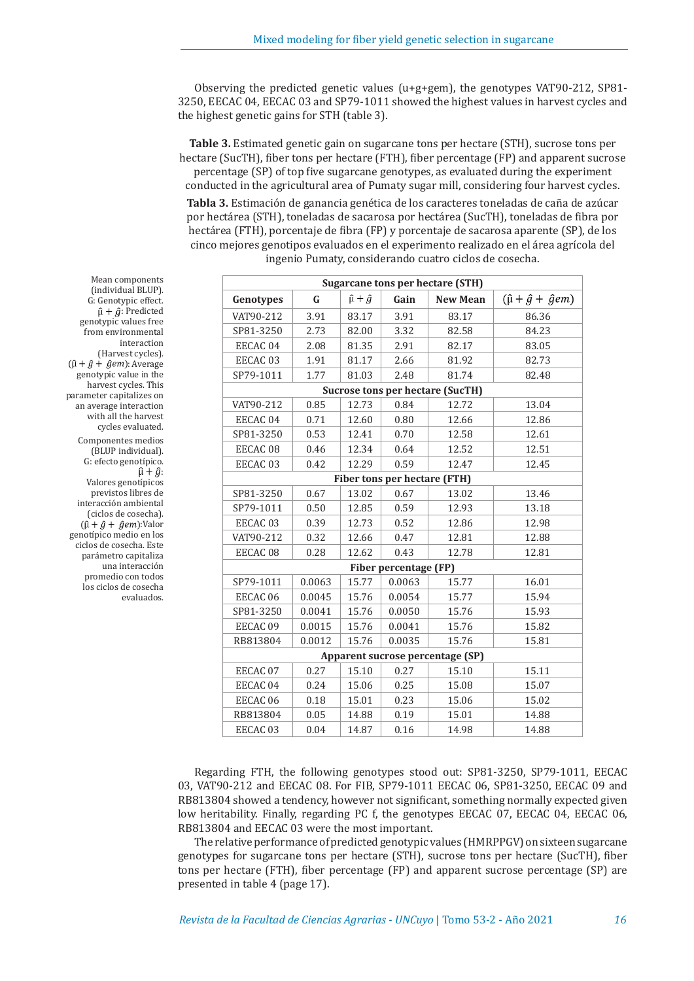Observing the predicted genetic values (u+g+gem), the genotypes VAT90-212, SP81- 3250, EECAC 04, EECAC 03 and SP79-1011 showed the highest values in harvest cycles and the highest genetic gains for STH (table 3).

**Table 3.** Estimated genetic gain on sugarcane tons per hectare (STH), sucrose tons per hectare (SucTH), fiber tons per hectare (FTH), fiber percentage (FP) and apparent sucrose percentage (SP) of top five sugarcane genotypes, as evaluated during the experiment conducted in the agricultural area of Pumaty sugar mill, considering four harvest cycles.

**Tabla 3.** Estimación de ganancia genética de los caracteres toneladas de caña de azúcar por hectárea (STH), toneladas de sacarosa por hectárea (SucTH), toneladas de fibra por hectárea (FTH), porcentaje de fibra (FP) y porcentaje de sacarosa aparente (SP), de los cinco mejores genotipos evaluados en el experimento realizado en el área agrícola del ingenio Pumaty, considerando cuatro ciclos de cosecha.

| <b>Sugarcane tons per hectare (STH)</b> |                       |       |                              |                                         |       |  |  |  |
|-----------------------------------------|-----------------------|-------|------------------------------|-----------------------------------------|-------|--|--|--|
| Genotypes                               | $\hat{\mu} + \hat{g}$ | Gain  | <b>New Mean</b>              | $(\hat{\mu} + \hat{g} + \hat{g}em)$     |       |  |  |  |
| VAT90-212                               | 3.91                  | 83.17 | 3.91                         | 83.17                                   | 86.36 |  |  |  |
| SP81-3250                               | 2.73                  | 82.00 | 3.32                         | 82.58                                   | 84.23 |  |  |  |
| EECAC 04                                | 2.08                  | 81.35 | 2.91                         | 82.17                                   | 83.05 |  |  |  |
| EECAC <sub>03</sub>                     | 1.91                  | 81.17 | 2.66                         | 81.92                                   | 82.73 |  |  |  |
| SP79-1011                               | 1.77                  | 81.03 | 2.48                         | 81.74                                   | 82.48 |  |  |  |
|                                         |                       |       |                              | <b>Sucrose tons per hectare (SucTH)</b> |       |  |  |  |
| VAT90-212                               | 0.85                  | 12.73 | 0.84                         | 12.72                                   | 13.04 |  |  |  |
| EECAC <sub>04</sub>                     | 0.71                  | 12.60 | 0.80                         | 12.66                                   | 12.86 |  |  |  |
| SP81-3250                               | 0.53                  | 12.41 | 0.70                         | 12.58                                   | 12.61 |  |  |  |
| EECAC <sub>08</sub>                     | 0.46                  | 12.34 | 0.64                         | 12.52                                   | 12.51 |  |  |  |
| EECAC <sub>03</sub>                     | 0.42                  | 12.29 | 0.59                         | 12.47                                   | 12.45 |  |  |  |
|                                         |                       |       | Fiber tons per hectare (FTH) |                                         |       |  |  |  |
| SP81-3250                               | 0.67                  | 13.02 | 0.67                         | 13.02                                   | 13.46 |  |  |  |
| SP79-1011                               | 0.50                  | 12.85 | 0.59                         | 12.93                                   | 13.18 |  |  |  |
| EECAC <sub>03</sub>                     | 0.39                  | 12.73 | 0.52                         | 12.86                                   | 12.98 |  |  |  |
| VAT90-212                               | 0.32                  | 12.66 | 0.47                         | 12.81                                   | 12.88 |  |  |  |
| EECAC <sub>08</sub>                     | 0.28                  | 12.62 | 0.43                         | 12.78                                   | 12.81 |  |  |  |
|                                         |                       |       | Fiber percentage (FP)        |                                         |       |  |  |  |
| SP79-1011                               | 0.0063                | 15.77 | 0.0063                       | 15.77                                   | 16.01 |  |  |  |
| EECAC <sub>06</sub>                     | 0.0045                | 15.76 | 0.0054                       | 15.77                                   | 15.94 |  |  |  |
| SP81-3250                               | 0.0041                | 15.76 | 0.0050                       | 15.76                                   | 15.93 |  |  |  |
| EECAC <sub>09</sub>                     | 0.0015                | 15.76 | 0.0041                       | 15.76                                   | 15.82 |  |  |  |
| RB813804                                | 0.0012                | 15.76 | 0.0035                       | 15.76                                   | 15.81 |  |  |  |
| Apparent sucrose percentage (SP)        |                       |       |                              |                                         |       |  |  |  |
| EECAC 07                                | 0.27                  | 15.10 | 0.27                         | 15.10                                   | 15.11 |  |  |  |
| EECAC <sub>04</sub>                     | 0.24                  | 15.06 | 0.25                         | 15.08                                   | 15.07 |  |  |  |
| EECAC <sub>06</sub>                     | 0.18                  | 15.01 | 0.23                         | 15.06                                   | 15.02 |  |  |  |
| RB813804                                | 0.05                  | 14.88 | 0.19                         | 15.01                                   | 14.88 |  |  |  |
| EECAC <sub>03</sub>                     | 0.04                  | 14.87 | 0.16                         | 14.98                                   | 14.88 |  |  |  |

Regarding FTH, the following genotypes stood out: SP81-3250, SP79-1011, EECAC 03, VAT90-212 and EECAC 08. For FIB, SP79-1011 EECAC 06, SP81-3250, EECAC 09 and RB813804 showed a tendency, however not significant, something normally expected given low heritability. Finally, regarding PC f, the genotypes EECAC 07, EECAC 04, EECAC 06, RB813804 and EECAC 03 were the most important.

The relative performance of predicted genotypic values (HMRPPGV) on sixteen sugarcane genotypes for sugarcane tons per hectare (STH), sucrose tons per hectare (SucTH), fiber tons per hectare (FTH), fiber percentage (FP) and apparent sucrose percentage (SP) are presented in table 4 (page 17).

Mean components (individual BLUP). G: Genotypic effect.  $\hat{\mu} + \hat{g}$ : Predicted genotypic values free from environmental interaction (Harvest cycles).  $(\hat{\mu} + \hat{g} + \hat{g}em)$ : Average genotypic value in the harvest cycles. This parameter capitalizes on an average interaction with all the harvest cycles evaluated. Componentes medios (BLUP individual). G: efecto genotípico.  $\hat{u} + \hat{a}$ Valores genotípicos previstos libres de interacción ambiental (ciclos de cosecha).  $(\hat{\mu} + \hat{g} + \hat{g}em)$ :Valor genotípico medio en los ciclos de cosecha. Este parámetro capitaliza una interacción promedio con todos

los ciclos de cosecha evaluados.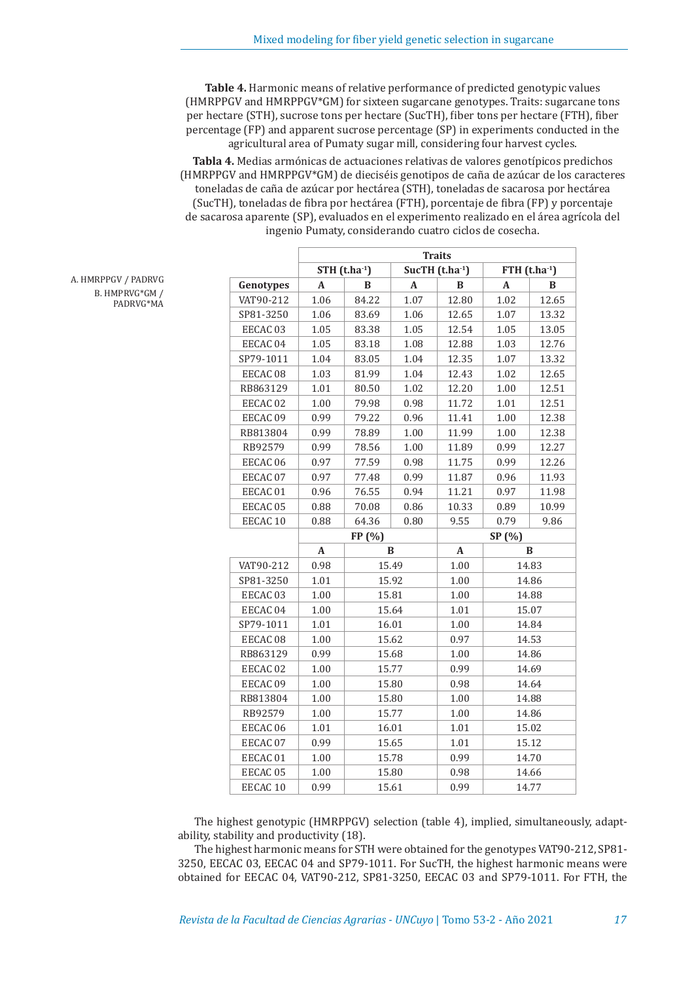**Table 4.** Harmonic means of relative performance of predicted genotypic values (HMRPPGV and HMRPPGV\*GM) for sixteen sugarcane genotypes. Traits: sugarcane tons per hectare (STH), sucrose tons per hectare (SucTH), fiber tons per hectare (FTH), fiber percentage (FP) and apparent sucrose percentage (SP) in experiments conducted in the agricultural area of Pumaty sugar mill, considering four harvest cycles.

**Tabla 4.** Medias armónicas de actuaciones relativas de valores genotípicos predichos (HMRPPGV and HMRPPGV\*GM) de dieciséis genotipos de caña de azúcar de los caracteres toneladas de caña de azúcar por hectárea (STH), toneladas de sacarosa por hectárea (SucTH), toneladas de fibra por hectárea (FTH), porcentaje de fibra (FP) y porcentaje de sacarosa aparente (SP), evaluados en el experimento realizado en el área agrícola del ingenio Pumaty, considerando cuatro ciclos de cosecha.

|                           | <b>Traits</b>         |       |       |                                          |              |       |  |  |
|---------------------------|-----------------------|-------|-------|------------------------------------------|--------------|-------|--|--|
|                           | $STH$ (t.ha $^{-1}$ ) |       |       | SucTH $(t.ha^{-1})$<br>FTH $(t.ha^{-1})$ |              |       |  |  |
| Genotypes                 | A                     | B     | A     | B                                        | A            | B     |  |  |
| VAT90-212                 | 1.06                  | 84.22 | 1.07  | 12.80                                    | 1.02         | 12.65 |  |  |
| SP81-3250                 | 1.06                  | 83.69 | 1.06  | 12.65                                    | 1.07         | 13.32 |  |  |
| EECAC <sub>03</sub>       | 1.05                  | 83.38 | 1.05  | 12.54                                    | 1.05         | 13.05 |  |  |
| EECAC 04                  | 1.05                  | 83.18 | 1.08  | 12.88                                    | 1.03         | 12.76 |  |  |
| SP79-1011                 | 1.04                  | 83.05 | 1.04  | 12.35                                    | 1.07         | 13.32 |  |  |
| EECAC 08                  | 1.03                  | 81.99 | 1.04  | 12.43                                    | 1.02         | 12.65 |  |  |
| RB863129                  | 1.01                  | 80.50 | 1.02  | 12.20                                    | 1.00         | 12.51 |  |  |
| EECAC <sub>02</sub>       | 1.00                  | 79.98 | 0.98  | 11.72                                    | 1.01         | 12.51 |  |  |
| EECAC 09                  | 0.99                  | 79.22 | 0.96  | 11.41                                    | 1.00         | 12.38 |  |  |
| RB813804                  | 0.99                  | 78.89 | 1.00  | 11.99                                    | 1.00         | 12.38 |  |  |
| RB92579                   | 0.99                  | 78.56 | 1.00  | 11.89                                    | 0.99         | 12.27 |  |  |
| EECAC 06                  | 0.97                  | 77.59 | 0.98  | 11.75                                    | 0.99         | 12.26 |  |  |
| EECAC 07                  | 0.97                  | 77.48 | 0.99  | 11.87                                    | 0.96         | 11.93 |  |  |
| EECAC <sub>01</sub>       | 0.96                  | 76.55 | 0.94  | 11.21                                    | 0.97         | 11.98 |  |  |
| EECAC 05                  | 0.88                  | 70.08 | 0.86  | 10.33                                    | 0.89         | 10.99 |  |  |
| EECAC <sub>10</sub>       | 0.88                  | 64.36 | 0.80  | 9.55                                     | 0.79         | 9.86  |  |  |
|                           | FP (%)                |       |       |                                          | SP (%)       |       |  |  |
|                           | A                     | B     |       | A                                        | $\, {\bf B}$ |       |  |  |
| VAT90-212                 | 0.98                  |       | 15.49 | 1.00                                     |              | 14.83 |  |  |
| SP81-3250                 | 1.01                  | 15.92 |       | 1.00                                     | 14.86        |       |  |  |
| EECAC <sub>03</sub>       | 1.00                  | 15.81 |       | 1.00                                     | 14.88        |       |  |  |
| EECAC 04                  | 1.00                  | 15.64 |       | 1.01                                     | 15.07        |       |  |  |
| SP79-1011                 | 1.01                  | 16.01 |       | 1.00                                     | 14.84        |       |  |  |
| EECAC <sub>08</sub>       | 1.00                  | 15.62 |       | 0.97                                     | 14.53        |       |  |  |
| RB863129                  | 0.99                  | 15.68 |       | 1.00                                     | 14.86        |       |  |  |
| EECAC <sub>02</sub>       | 1.00                  | 15.77 |       | 0.99                                     | 14.69        |       |  |  |
| EECAC 09                  | 1.00                  | 15.80 |       | 0.98                                     | 14.64        |       |  |  |
| RB813804<br>1.00<br>15.80 |                       |       | 1.00  | 14.88                                    |              |       |  |  |
| RB92579                   | 1.00                  | 15.77 |       | 1.00                                     | 14.86        |       |  |  |
| EECAC 06                  | 1.01                  | 16.01 |       | $1.01\,$                                 | 15.02        |       |  |  |
| EECAC 07                  | 15.65<br>0.99         |       |       | 1.01                                     | 15.12        |       |  |  |
| EECAC <sub>01</sub>       | 1.00                  |       | 15.78 | 0.99                                     | 14.70        |       |  |  |
| EECAC <sub>05</sub>       | 1.00                  | 15.80 |       | 0.98                                     | 14.66        |       |  |  |
| EECAC <sub>10</sub>       | 0.99                  | 15.61 |       | 0.99                                     | 14.77        |       |  |  |

A. HMRPPGV / PADRVG B. HMPRVG\*GM / PADRVG\*MA

> The highest genotypic (HMRPPGV) selection (table 4), implied, simultaneously, adaptability, stability and productivity (18).

> The highest harmonic means for STH were obtained for the genotypes VAT90-212, SP81- 3250, EECAC 03, EECAC 04 and SP79-1011. For SucTH, the highest harmonic means were obtained for EECAC 04, VAT90-212, SP81-3250, EECAC 03 and SP79-1011. For FTH, the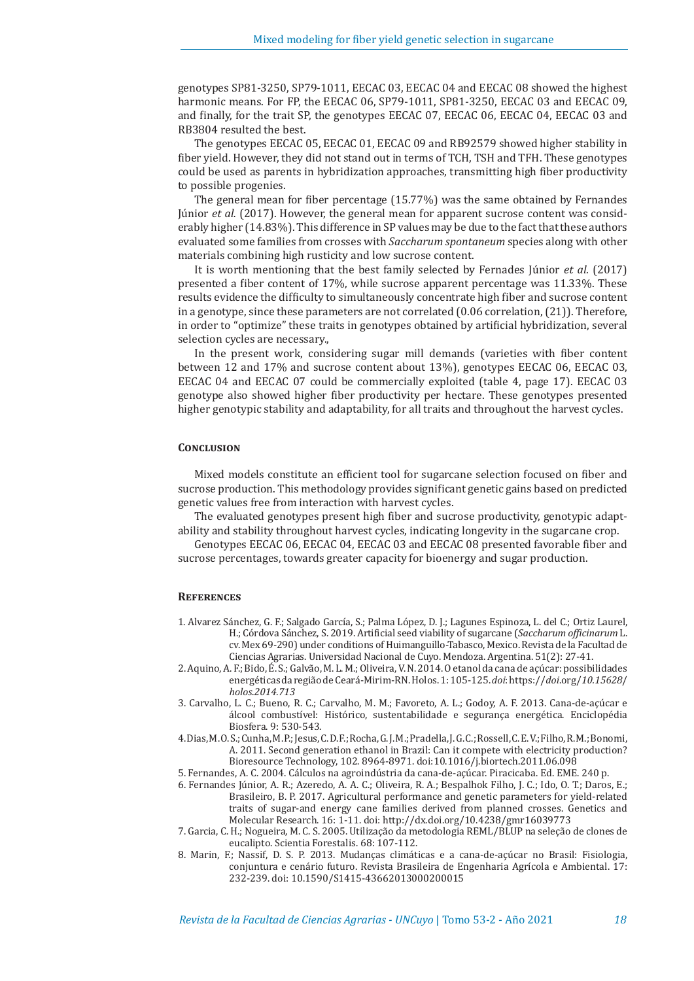genotypes SP81-3250, SP79-1011, EECAC 03, EECAC 04 and EECAC 08 showed the highest harmonic means. For FP, the EECAC 06, SP79-1011, SP81-3250, EECAC 03 and EECAC 09, and finally, for the trait SP, the genotypes EECAC 07, EECAC 06, EECAC 04, EECAC 03 and RB3804 resulted the best.

The genotypes EECAC 05, EECAC 01, EECAC 09 and RB92579 showed higher stability in fiber yield. However, they did not stand out in terms of TCH, TSH and TFH. These genotypes could be used as parents in hybridization approaches, transmitting high fiber productivity to possible progenies.

The general mean for fiber percentage (15.77%) was the same obtained by Fernandes Júnior *et al.* (2017). However, the general mean for apparent sucrose content was considerably higher (14.83%). This difference in SP values may be due to the fact that these authors evaluated some families from crosses with *Saccharum spontaneum* species along with other materials combining high rusticity and low sucrose content.

It is worth mentioning that the best family selected by Fernades Júnior *et al.* (2017) presented a fiber content of 17%, while sucrose apparent percentage was 11.33%. These results evidence the difficulty to simultaneously concentrate high fiber and sucrose content in a genotype, since these parameters are not correlated (0.06 correlation, (21)). Therefore, in order to "optimize" these traits in genotypes obtained by artificial hybridization, several selection cycles are necessary.,

In the present work, considering sugar mill demands (varieties with fiber content between 12 and 17% and sucrose content about 13%), genotypes EECAC 06, EECAC 03, EECAC 04 and EECAC 07 could be commercially exploited (table 4, page 17). EECAC 03 genotype also showed higher fiber productivity per hectare. These genotypes presented higher genotypic stability and adaptability, for all traits and throughout the harvest cycles.

## **Conclusion**

Mixed models constitute an efficient tool for sugarcane selection focused on fiber and sucrose production. This methodology provides significant genetic gains based on predicted genetic values free from interaction with harvest cycles.

The evaluated genotypes present high fiber and sucrose productivity, genotypic adaptability and stability throughout harvest cycles, indicating longevity in the sugarcane crop.

Genotypes EECAC 06, EECAC 04, EECAC 03 and EECAC 08 presented favorable fiber and sucrose percentages, towards greater capacity for bioenergy and sugar production.

#### **References**

- 1. Alvarez Sánchez, G. F.; Salgado García, S.; Palma López, D. J.; Lagunes Espinoza, L. del C.; Ortiz Laurel, H.; Córdova Sánchez, S. 2019. Artificial seed viability of sugarcane (*Saccharum officinarum* L. cv. Mex 69-290) under conditions of Huimanguillo-Tabasco, Mexico. Revista de la Facultad de Ciencias Agrarias. Universidad Nacional de Cuyo. Mendoza. Argentina. 51(2): 27-41.
- 2. Aquino, A. F.; Bido, É. S.; Galvão, M. L. M.; Oliveira, V. N. 2014. O etanol da cana de açúcar: possibilidades energéticas da região de Ceará-Mirim-RN. Holos. 1: 105-125. *doi*: https://*doi*.org/*10.15628*/ *holos*.*2014.713*
- 3. Carvalho, L. C.; Bueno, R. C.; Carvalho, M. M.; Favoreto, A. L.; Godoy, A. F. 2013. Cana-de-açúcar e álcool combustível: Histórico, sustentabilidade e segurança energética. Enciclopédia Biosfera. 9: 530-543.
- 4. Dias, M. O. S.; Cunha, M. P.; Jesus, C. D. F.; Rocha, G. J. M.; Pradella, J. G. C.; Rossell, C. E. V.; Filho, R. M.; Bonomi, A. 2011. Second generation ethanol in Brazil: Can it compete with electricity production? Bioresource Technology, 102. 8964-8971. doi:10.1016/j.biortech.2011.06.098

5. Fernandes, A. C. 2004. Cálculos na agroindústria da cana-de-açúcar. Piracicaba. Ed. EME. 240 p.

- 6. Fernandes Júnior, A. R.; Azeredo, A. A. C.; Oliveira, R. A.; Bespalhok Filho, J. C.; Ido, O. T.; Daros, E.; Brasileiro, B. P. 2017. Agricultural performance and genetic parameters for yield-related traits of sugar-and energy cane families derived from planned crosses. Genetics and Molecular Research. 16: 1-11. doi: http://dx.doi.org/10.4238/gmr16039773
- 7. Garcia, C. H.; Nogueira, M. C. S. 2005. Utilização da metodologia REML/BLUP na seleção de clones de eucalipto. Scientia Forestalis. 68: 107-112.
- 8. Marin, F.; Nassif, D. S. P. 2013. Mudanças climáticas e a cana-de-açúcar no Brasil: Fisiologia, conjuntura e cenário futuro. Revista Brasileira de Engenharia Agrícola e Ambiental. 17: 232-239. doi: 10.1590/S1415-43662013000200015